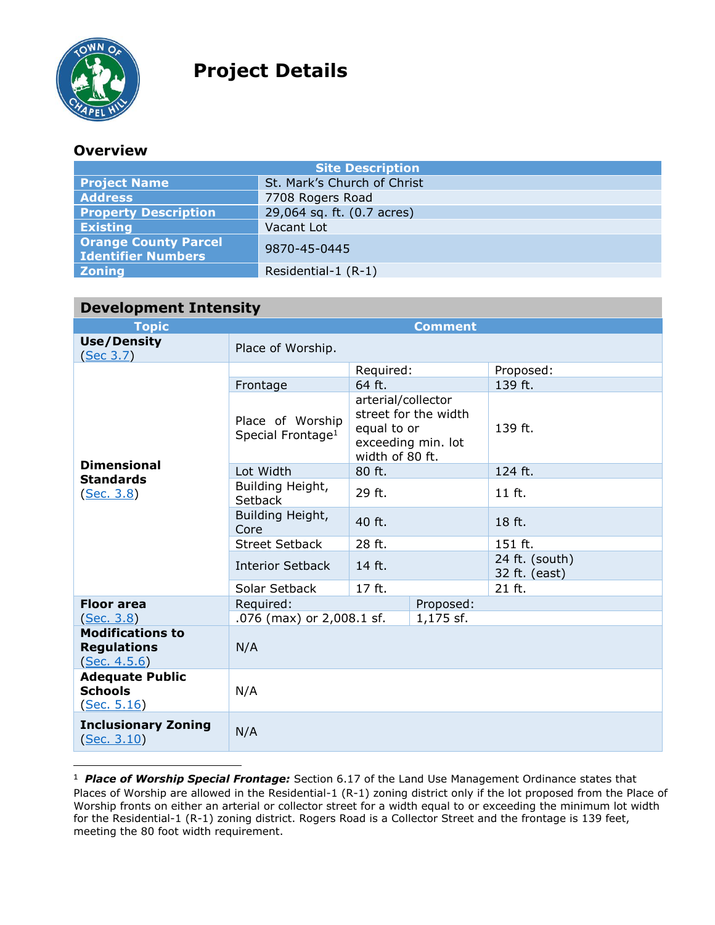

 $\overline{a}$ 

## **Project Details**

## **Overview**

| <b>Site Description</b>                                  |                             |  |  |
|----------------------------------------------------------|-----------------------------|--|--|
| <b>Project Name</b>                                      | St. Mark's Church of Christ |  |  |
| <b>Address</b>                                           | 7708 Rogers Road            |  |  |
| <b>Property Description</b>                              | 29,064 sq. ft. (0.7 acres)  |  |  |
| <b>Existing</b>                                          | Vacant Lot                  |  |  |
| <b>Orange County Parcel</b><br><b>Identifier Numbers</b> | 9870-45-0445                |  |  |
| <b>Zoning</b>                                            | Residential-1 (R-1)         |  |  |

| <b>Development Intensity</b>                                  |                                                   |                                                                                                    |  |                                 |
|---------------------------------------------------------------|---------------------------------------------------|----------------------------------------------------------------------------------------------------|--|---------------------------------|
| <b>Topic</b>                                                  | <b>Comment</b>                                    |                                                                                                    |  |                                 |
| <b>Use/Density</b><br>(Sec 3.7)                               | Place of Worship.                                 |                                                                                                    |  |                                 |
| <b>Dimensional</b><br><b>Standards</b><br><u>(Sec. 3.8)</u>   | Frontage                                          | Required:<br>64 ft.                                                                                |  | Proposed:<br>139 ft.            |
|                                                               | Place of Worship<br>Special Frontage <sup>1</sup> | arterial/collector<br>street for the width<br>equal to or<br>exceeding min. lot<br>width of 80 ft. |  | 139 ft.                         |
|                                                               | Lot Width                                         | 80 ft.                                                                                             |  | 124 ft.                         |
|                                                               | Building Height,<br><b>Setback</b>                | 29 ft.                                                                                             |  | 11 ft.                          |
|                                                               | Building Height,<br>Core                          | 40 ft.                                                                                             |  | 18 ft.                          |
|                                                               | <b>Street Setback</b>                             | 28 ft.                                                                                             |  | 151 ft.                         |
|                                                               | <b>Interior Setback</b>                           | 14 ft.                                                                                             |  | 24 ft. (south)<br>32 ft. (east) |
|                                                               | Solar Setback                                     | 17 ft.                                                                                             |  | 21 ft.                          |
| <b>Floor area</b>                                             | Proposed:<br>Required:                            |                                                                                                    |  |                                 |
| (Sec. 3.8)                                                    | .076 (max) or 2,008.1 sf.<br>1,175 sf.            |                                                                                                    |  |                                 |
| <b>Modifications to</b><br><b>Regulations</b><br>(Sec. 4.5.6) | N/A                                               |                                                                                                    |  |                                 |
| <b>Adequate Public</b><br><b>Schools</b><br>(Sec. 5.16)       | N/A                                               |                                                                                                    |  |                                 |
| <b>Inclusionary Zoning</b><br>(Sec. 3.10)                     | N/A                                               |                                                                                                    |  |                                 |

<sup>&</sup>lt;sup>1</sup> Place of Worship Special Frontage: Section 6.17 of the Land Use Management Ordinance states that Places of Worship are allowed in the Residential-1 (R-1) zoning district only if the lot proposed from the Place of Worship fronts on either an arterial or collector street for a width equal to or exceeding the minimum lot width for the Residential-1 (R-1) zoning district. Rogers Road is a Collector Street and the frontage is 139 feet, meeting the 80 foot width requirement.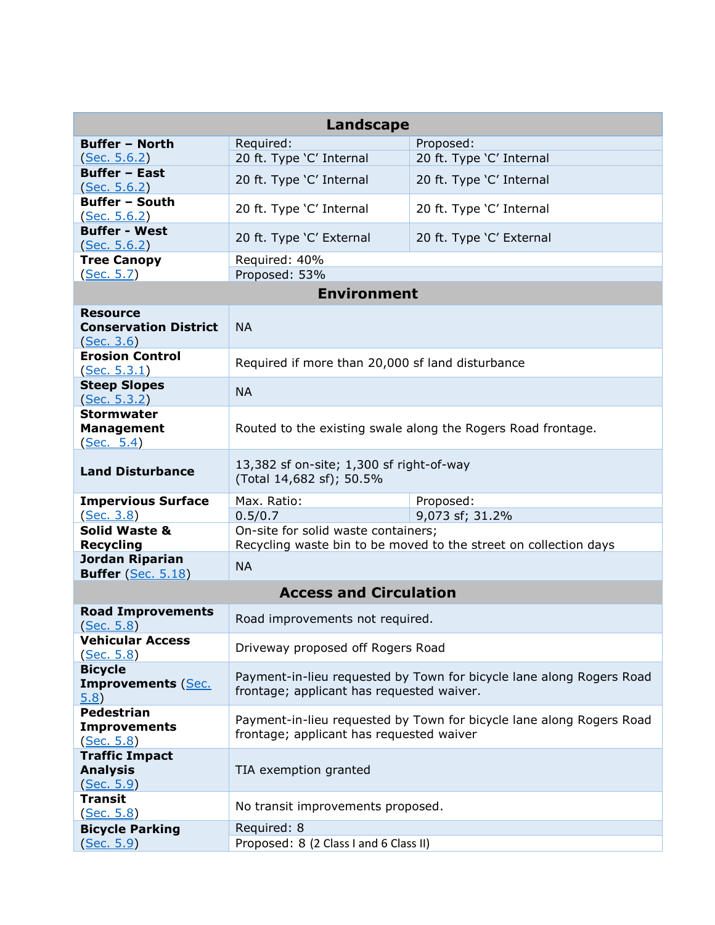| <b>Landscape</b>                                              |                                                                                                                   |                                                                  |  |  |  |
|---------------------------------------------------------------|-------------------------------------------------------------------------------------------------------------------|------------------------------------------------------------------|--|--|--|
| <b>Buffer - North</b>                                         | Required:                                                                                                         | Proposed:                                                        |  |  |  |
| <u>(Sec. 5.6.2)</u>                                           | 20 ft. Type 'C' Internal                                                                                          | 20 ft. Type 'C' Internal                                         |  |  |  |
| <b>Buffer - East</b><br>(Sec. 5.6.2)                          | 20 ft. Type 'C' Internal                                                                                          | 20 ft. Type 'C' Internal                                         |  |  |  |
| <b>Buffer - South</b><br>(Sec. 5.6.2)                         | 20 ft. Type 'C' Internal                                                                                          | 20 ft. Type 'C' Internal                                         |  |  |  |
| <b>Buffer - West</b><br>(Sec. 5.6.2)                          | 20 ft. Type 'C' External                                                                                          | 20 ft. Type 'C' External                                         |  |  |  |
| <b>Tree Canopy</b>                                            | Required: 40%                                                                                                     |                                                                  |  |  |  |
| (Sec. 5.7)                                                    | Proposed: 53%<br><b>Environment</b>                                                                               |                                                                  |  |  |  |
|                                                               |                                                                                                                   |                                                                  |  |  |  |
| <b>Resource</b><br><b>Conservation District</b><br>(Sec. 3.6) | <b>NA</b>                                                                                                         |                                                                  |  |  |  |
| <b>Erosion Control</b><br>(Sec. 5.3.1)                        | Required if more than 20,000 sf land disturbance                                                                  |                                                                  |  |  |  |
| <b>Steep Slopes</b><br>(Sec. 5.3.2)                           | <b>NA</b>                                                                                                         |                                                                  |  |  |  |
| <b>Stormwater</b><br><b>Management</b><br>(Sec. 5.4)          | Routed to the existing swale along the Rogers Road frontage.                                                      |                                                                  |  |  |  |
| <b>Land Disturbance</b>                                       | 13,382 sf on-site; 1,300 sf right-of-way<br>(Total 14,682 sf); 50.5%                                              |                                                                  |  |  |  |
| <b>Impervious Surface</b>                                     | Max. Ratio:                                                                                                       | Proposed:                                                        |  |  |  |
| (Sec. 3.8)                                                    | 0.5/0.7                                                                                                           | 9,073 sf; 31.2%                                                  |  |  |  |
| <b>Solid Waste &amp;</b><br><b>Recycling</b>                  | On-site for solid waste containers;                                                                               | Recycling waste bin to be moved to the street on collection days |  |  |  |
| Jordan Riparian<br><b>Buffer</b> (Sec. 5.18)                  | <b>NA</b>                                                                                                         |                                                                  |  |  |  |
|                                                               | <b>Access and Circulation</b>                                                                                     |                                                                  |  |  |  |
| <b>Road Improvements</b><br>(Sec. 5.8)                        | Road improvements not required.                                                                                   |                                                                  |  |  |  |
| <b>Vehicular Access</b><br>(Sec. 5.8)                         | Driveway proposed off Rogers Road                                                                                 |                                                                  |  |  |  |
| <b>Bicycle</b><br><b>Improvements (Sec.</b><br>(5.8)          | Payment-in-lieu requested by Town for bicycle lane along Rogers Road<br>frontage; applicant has requested waiver. |                                                                  |  |  |  |
| <b>Pedestrian</b><br><b>Improvements</b><br>(Sec. 5.8)        | Payment-in-lieu requested by Town for bicycle lane along Rogers Road<br>frontage; applicant has requested waiver  |                                                                  |  |  |  |
| <b>Traffic Impact</b><br><b>Analysis</b><br><u>(Sec. 5.9)</u> | TIA exemption granted                                                                                             |                                                                  |  |  |  |
| <b>Transit</b><br><u>(Sec. 5.8)</u>                           | No transit improvements proposed.                                                                                 |                                                                  |  |  |  |
| <b>Bicycle Parking</b>                                        | Required: 8                                                                                                       |                                                                  |  |  |  |
| (Sec. 5.9)                                                    | Proposed: 8 (2 Class I and 6 Class II)                                                                            |                                                                  |  |  |  |